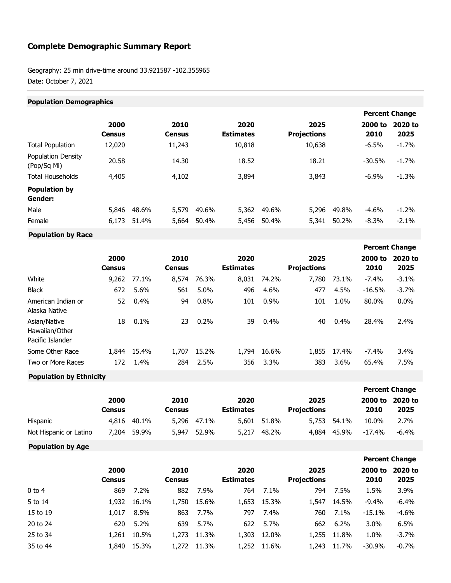## **Complete Demographic Summary Report**

Geography: 25 min drive-time around 33.921587 -102.355965 Date: October 7, 2021

| <b>Population Demographics</b> |       |                       |       |                          |       |                            |                       |                 |                 |
|--------------------------------|-------|-----------------------|-------|--------------------------|-------|----------------------------|-----------------------|-----------------|-----------------|
|                                |       |                       |       |                          |       |                            | <b>Percent Change</b> |                 |                 |
| 2000<br><b>Census</b>          |       | 2010<br><b>Census</b> |       | 2020<br><b>Estimates</b> |       | 2025<br><b>Projections</b> |                       | 2000 to<br>2010 | 2020 to<br>2025 |
| 12,020                         |       | 11,243                |       | 10,818                   |       | 10,638                     |                       | $-6.5%$         | $-1.7%$         |
| 20.58                          |       | 14.30                 |       | 18.52                    |       | 18.21                      |                       | $-30.5%$        | $-1.7%$         |
| 4,405                          |       | 4,102                 |       | 3,894                    |       | 3,843                      |                       | $-6.9%$         | $-1.3%$         |
|                                |       |                       |       |                          |       |                            |                       |                 |                 |
| 5,846                          | 48.6% | 5,579                 | 49.6% | 5,362                    | 49.6% | 5,296                      | 49.8%                 | $-4.6%$         | $-1.2%$         |
| 6,173                          | 51.4% | 5,664                 | 50.4% | 5,456                    | 50.4% | 5,341                      | 50.2%                 | $-8.3%$         | $-2.1%$         |
|                                |       |                       |       |                          |       |                            |                       |                 |                 |

**Population by Race**

|                                                    |                       |       |                       |         |                          |       |                            |         |                 | <b>Percent Change</b> |
|----------------------------------------------------|-----------------------|-------|-----------------------|---------|--------------------------|-------|----------------------------|---------|-----------------|-----------------------|
|                                                    | 2000<br><b>Census</b> |       | 2010<br><b>Census</b> |         | 2020<br><b>Estimates</b> |       | 2025<br><b>Projections</b> |         | 2000 to<br>2010 | 2020 to<br>2025       |
| White                                              | 9,262                 | 77.1% | 8,574                 | 76.3%   | 8,031                    | 74.2% | 7,780                      | 73.1%   | $-7.4%$         | $-3.1%$               |
| <b>Black</b>                                       | 672                   | 5.6%  | 561                   | $5.0\%$ | 496                      | 4.6%  | 477                        | 4.5%    | $-16.5%$        | $-3.7%$               |
| American Indian or<br>Alaska Native                | 52                    | 0.4%  | 94                    | 0.8%    | 101                      | 0.9%  | 101                        | 1.0%    | 80.0%           | $0.0\%$               |
| Asian/Native<br>Hawaiian/Other<br>Pacific Islander | 18                    | 0.1%  | 23                    | 0.2%    | 39                       | 0.4%  | 40                         | 0.4%    | 28.4%           | 2.4%                  |
| Some Other Race                                    | 1,844                 | 15.4% | 1,707                 | 15.2%   | 1,794                    | 16.6% | 1,855                      | 17.4%   | $-7.4%$         | 3.4%                  |
| Two or More Races                                  | 172                   | 1.4%  | 284                   | 2.5%    | 356                      | 3.3%  | 383                        | $3.6\%$ | 65.4%           | 7.5%                  |

**Population by Ethnicity**

|                        |               |       |        |             |                  |             |                    | <b>Percent Change</b> |         |         |
|------------------------|---------------|-------|--------|-------------|------------------|-------------|--------------------|-----------------------|---------|---------|
|                        | 2000          |       | 2010   |             | 2020             |             | 2025               |                       | 2000 to | 2020 to |
|                        | <b>Census</b> |       | Census |             | <b>Estimates</b> |             | <b>Projections</b> |                       | 2010    | 2025    |
| Hispanic               | 4,816         | 40.1% |        | 5,296 47.1% |                  | 5,601 51,8% | 5,753              | 54.1%                 | 10.0%   | 2.7%    |
| Not Hispanic or Latino | 7.204         | 59.9% | 5,947  | 52.9%       | 5,217            | 48.2%       | 4.884              | 45.9%                 | -17.4%  | -6.4%   |

**Population by Age**

|          |                       |       |                       |       |                          |       |                            |       |                 | <b>Percent Change</b> |
|----------|-----------------------|-------|-----------------------|-------|--------------------------|-------|----------------------------|-------|-----------------|-----------------------|
|          | 2000<br><b>Census</b> |       | 2010<br><b>Census</b> |       | 2020<br><b>Estimates</b> |       | 2025<br><b>Projections</b> |       | 2000 to<br>2010 | 2020 to<br>2025       |
| $0$ to 4 | 869                   | 7.2%  | 882                   | 7.9%  | 764                      | 7.1%  | 794                        | 7.5%  | 1.5%            | 3.9%                  |
| 5 to 14  | 1,932                 | 16.1% | 1,750                 | 15.6% | 1,653                    | 15.3% | 1,547                      | 14.5% | $-9.4%$         | $-6.4%$               |
| 15 to 19 | 1,017                 | 8.5%  | 863                   | 7.7%  | 797                      | 7.4%  | 760                        | 7.1%  | $-15.1%$        | $-4.6%$               |
| 20 to 24 | 620                   | 5.2%  | 639                   | 5.7%  | 622                      | 5.7%  | 662                        | 6.2%  | 3.0%            | 6.5%                  |
| 25 to 34 | 1,261                 | 10.5% | 1,273                 | 11.3% | 1,303                    | 12.0% | 1,255                      | 11.8% | 1.0%            | $-3.7%$               |
| 35 to 44 | 1,840                 | 15.3% | 1,272                 | 11.3% | 1,252                    | 11.6% | 1,243                      | 11.7% | $-30.9%$        | $-0.7\%$              |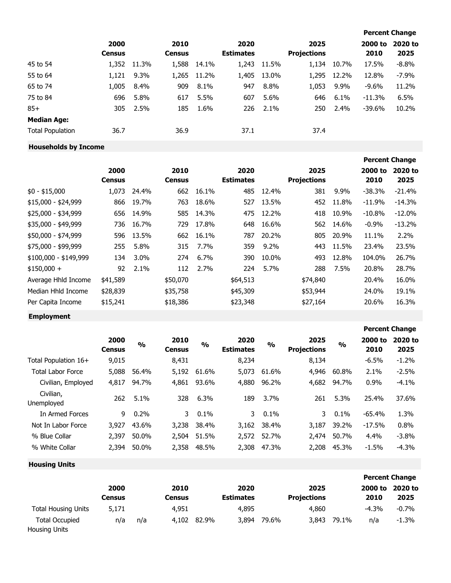|                         |                       |         |                       |       |                          |       |                            |       |                 | <b>Percent Change</b> |
|-------------------------|-----------------------|---------|-----------------------|-------|--------------------------|-------|----------------------------|-------|-----------------|-----------------------|
|                         | 2000<br><b>Census</b> |         | 2010<br><b>Census</b> |       | 2020<br><b>Estimates</b> |       | 2025<br><b>Projections</b> |       | 2000 to<br>2010 | 2020 to<br>2025       |
| 45 to 54                | 1,352                 | 11.3%   | 1,588                 | 14.1% | 1,243                    | 11.5% | 1,134                      | 10.7% | 17.5%           | $-8.8%$               |
| 55 to 64                | 1,121                 | $9.3\%$ | 1,265                 | 11.2% | 1,405                    | 13.0% | 1,295                      | 12.2% | 12.8%           | $-7.9\%$              |
| 65 to 74                | 1,005                 | 8.4%    | 909                   | 8.1%  | 947                      | 8.8%  | 1,053                      | 9.9%  | $-9.6%$         | 11.2%                 |
| 75 to 84                | 696                   | 5.8%    | 617                   | 5.5%  | 607                      | 5.6%  | 646                        | 6.1%  | $-11.3%$        | 6.5%                  |
| $85+$                   | 305                   | 2.5%    | 185                   | 1.6%  | 226                      | 2.1%  | 250                        | 2.4%  | -39.6%          | 10.2%                 |
| <b>Median Age:</b>      |                       |         |                       |       |                          |       |                            |       |                 |                       |
| <b>Total Population</b> | 36.7                  |         | 36.9                  |       | 37.1                     |       | 37.4                       |       |                 |                       |

## **Households by Income**

|                       |               |       |               |       |                  |         |                    |       |           | <b>Percent Change</b> |
|-----------------------|---------------|-------|---------------|-------|------------------|---------|--------------------|-------|-----------|-----------------------|
|                       | 2000          |       | 2010          |       | 2020             |         | 2025               |       | 2000 to   | 2020 to               |
|                       | <b>Census</b> |       | <b>Census</b> |       | <b>Estimates</b> |         | <b>Projections</b> |       | 2010      | 2025                  |
| $$0 - $15,000$        | 1,073         | 24.4% | 662           | 16.1% | 485              | 12.4%   | 381                | 9.9%  | $-38.3%$  | $-21.4%$              |
| \$15,000 - \$24,999   | 866           | 19.7% | 763           | 18.6% | 527              | 13.5%   | 452                | 11.8% | $-11.9%$  | $-14.3%$              |
| \$25,000 - \$34,999   | 656           | 14.9% | 585           | 14.3% | 475              | 12.2%   | 418                | 10.9% | $-10.8\%$ | $-12.0%$              |
| $$35,000 - $49,999$   | 736           | 16.7% | 729           | 17.8% | 648              | 16.6%   | 562                | 14.6% | $-0.9%$   | $-13.2%$              |
| \$50,000 - \$74,999   | 596           | 13.5% | 662           | 16.1% | 787              | 20.2%   | 805                | 20.9% | 11.1%     | 2.2%                  |
| \$75,000 - \$99,999   | 255           | 5.8%  | 315           | 7.7%  | 359              | $9.2\%$ | 443                | 11.5% | 23.4%     | 23.5%                 |
| $$100,000 - $149,999$ | 134           | 3.0%  | 274           | 6.7%  | 390              | 10.0%   | 493                | 12.8% | 104.0%    | 26.7%                 |
| $$150,000 +$          | 92            | 2.1%  | 112           | 2.7%  | 224              | 5.7%    | 288                | 7.5%  | 20.8%     | 28.7%                 |
| Average Hhld Income   | \$41,589      |       | \$50,070      |       | \$64,513         |         | \$74,840           |       | 20.4%     | 16.0%                 |
| Median Hhld Income    | \$28,839      |       | \$35,758      |       | \$45,309         |         | \$53,944           |       | 24.0%     | 19.1%                 |
| Per Capita Income     | \$15,241      |       | \$18,386      |       | \$23,348         |         | \$27,164           |       | 20.6%     | 16.3%                 |
| <b>Employment</b>     |               |       |               |       |                  |         |                    |       |           |                       |

|                          |                       |               |                       |               |                          |               |                            |               | <b>Percent Change</b> |                 |  |
|--------------------------|-----------------------|---------------|-----------------------|---------------|--------------------------|---------------|----------------------------|---------------|-----------------------|-----------------|--|
|                          | 2000<br><b>Census</b> | $\frac{0}{0}$ | 2010<br><b>Census</b> | $\frac{0}{0}$ | 2020<br><b>Estimates</b> | $\frac{1}{2}$ | 2025<br><b>Projections</b> | $\frac{0}{0}$ | 2000 to<br>2010       | 2020 to<br>2025 |  |
| Total Population 16+     | 9,015                 |               | 8,431                 |               | 8,234                    |               | 8,134                      |               | $-6.5%$               | $-1.2%$         |  |
| <b>Total Labor Force</b> | 5,088                 | 56.4%         | 5,192                 | 61.6%         | 5,073                    | 61.6%         | 4,946                      | 60.8%         | 2.1%                  | $-2.5%$         |  |
| Civilian, Employed       | 4,817                 | 94.7%         | 4,861                 | 93.6%         | 4,880                    | 96.2%         | 4,682                      | 94.7%         | 0.9%                  | $-4.1%$         |  |
| Civilian,<br>Unemployed  | 262                   | 5.1%          | 328                   | 6.3%          | 189                      | 3.7%          | 261                        | 5.3%          | 25.4%                 | 37.6%           |  |
| In Armed Forces          | 9                     | 0.2%          | 3.                    | $0.1\%$       | 3                        | $0.1\%$       | 3.                         | 0.1%          | $-65.4%$              | 1.3%            |  |
| Not In Labor Force       | 3,927                 | 43.6%         | 3,238                 | 38.4%         | 3,162                    | 38.4%         | 3,187                      | 39.2%         | $-17.5%$              | 0.8%            |  |
| % Blue Collar            | 2,397                 | 50.0%         | 2,504                 | 51.5%         | 2,572                    | 52.7%         | 2,474                      | 50.7%         | 4.4%                  | $-3.8%$         |  |
| % White Collar           | 2,394                 | 50.0%         | 2,358                 | 48.5%         | 2,308                    | 47.3%         | 2,208                      | 45.3%         | $-1.5%$               | $-4.3%$         |  |

| <b>Housing Units</b> |  |
|----------------------|--|
|----------------------|--|

|                                 |        |     |        |       |                  |       |                    |       | <b>Percent Change</b> |         |
|---------------------------------|--------|-----|--------|-------|------------------|-------|--------------------|-------|-----------------------|---------|
|                                 | 2000   |     | 2010   |       | 2020             |       | 2025               |       | 2000 to               | 2020 to |
|                                 | Census |     | Census |       | <b>Estimates</b> |       | <b>Projections</b> |       | 2010                  | 2025    |
| <b>Total Housing Units</b>      | 5,171  |     | 4,951  |       | 4,895            |       | 4,860              |       | $-4.3%$               | $-0.7%$ |
| Total Occupied<br>Housing Units | n/a    | n/a | 4,102  | 82.9% | 3,894            | 79.6% | 3,843              | 79.1% | n/a                   | $-1.3%$ |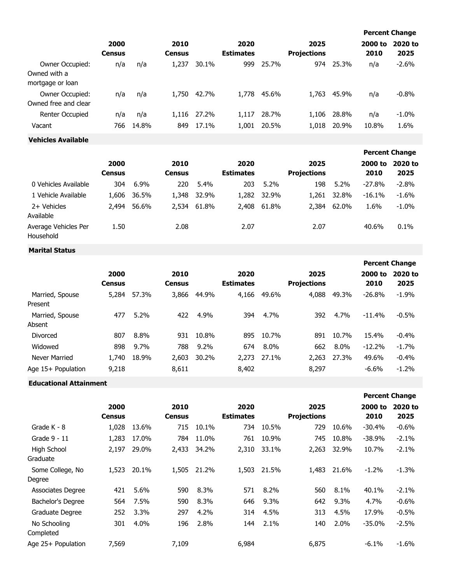|                                                     |                       |              |                       |                |                          |                |                            |                |                 | <b>Percent Change</b> |  |  |
|-----------------------------------------------------|-----------------------|--------------|-----------------------|----------------|--------------------------|----------------|----------------------------|----------------|-----------------|-----------------------|--|--|
|                                                     | 2000<br><b>Census</b> |              | 2010<br><b>Census</b> |                | 2020<br><b>Estimates</b> |                | 2025<br><b>Projections</b> |                | 2000 to<br>2010 | 2020 to<br>2025       |  |  |
| Owner Occupied:<br>Owned with a<br>mortgage or loan | n/a                   | n/a          | 1,237                 | 30.1%          | 999                      | 25.7%          | 974                        | 25.3%          | n/a             | $-2.6%$               |  |  |
| Owner Occupied:<br>Owned free and clear             | n/a                   | n/a          | 1,750                 | 42.7%          | 1,778                    | 45.6%          | 1,763                      | 45.9%          | n/a             | $-0.8\%$              |  |  |
| <b>Renter Occupied</b><br>Vacant                    | n/a<br>766            | n/a<br>14.8% | 1,116<br>849          | 27.2%<br>17.1% | 1,117<br>1,001           | 28.7%<br>20.5% | 1,106<br>1,018             | 28.8%<br>20.9% | n/a<br>10.8%    | $-1.0\%$<br>1.6%      |  |  |

**Vehicles Available**

|                                   |                       |         |                       |       |                          |         |                            |       |                 | <b>Percent Change</b> |
|-----------------------------------|-----------------------|---------|-----------------------|-------|--------------------------|---------|----------------------------|-------|-----------------|-----------------------|
|                                   | 2000<br><b>Census</b> |         | 2010<br><b>Census</b> |       | 2020<br><b>Estimates</b> |         | 2025<br><b>Projections</b> |       | 2000 to<br>2010 | 2020 to<br>2025       |
| 0 Vehicles Available              | 304                   | $6.9\%$ | 220                   | 5.4%  | 203                      | $5.2\%$ | 198                        | 5.2%  | $-27.8%$        | $-2.8%$               |
| 1 Vehicle Available               | 1,606                 | 36.5%   | 1,348                 | 32.9% | 1,282                    | 32.9%   | 1,261                      | 32.8% | $-16.1%$        | $-1.6%$               |
| 2+ Vehicles<br>Available          | 2,494                 | 56.6%   | 2,534                 | 61.8% | 2,408                    | 61.8%   | 2,384                      | 62.0% | 1.6%            | $-1.0%$               |
| Average Vehicles Per<br>Household | 1.50                  |         | 2.08                  |       | 2.07                     |         | 2.07                       |       | 40.6%           | 0.1%                  |

## **Marital Status**

|                            |                       |       |                       |         |                          |       |                            |         |                 | <b>Percent Change</b> |
|----------------------------|-----------------------|-------|-----------------------|---------|--------------------------|-------|----------------------------|---------|-----------------|-----------------------|
|                            | 2000<br><b>Census</b> |       | 2010<br><b>Census</b> |         | 2020<br><b>Estimates</b> |       | 2025<br><b>Projections</b> |         | 2000 to<br>2010 | 2020 to<br>2025       |
| Married, Spouse<br>Present | 5,284                 | 57.3% | 3,866                 | 44.9%   | 4,166                    | 49.6% | 4,088                      | 49.3%   | $-26.8%$        | $-1.9%$               |
| Married, Spouse<br>Absent  | 477                   | 5.2%  | 422                   | 4.9%    | 394                      | 4.7%  | 392                        | 4.7%    | $-11.4%$        | $-0.5%$               |
| Divorced                   | 807                   | 8.8%  | 931                   | 10.8%   | 895                      | 10.7% | 891                        | 10.7%   | 15.4%           | $-0.4%$               |
| Widowed                    | 898                   | 9.7%  | 788                   | $9.2\%$ | 674                      | 8.0%  | 662                        | $8.0\%$ | $-12.2%$        | $-1.7%$               |
| Never Married              | 1,740                 | 18.9% | 2,603                 | 30.2%   | 2,273                    | 27.1% | 2,263                      | 27.3%   | 49.6%           | $-0.4%$               |
| Age 15+ Population         | 9,218                 |       | 8,611                 |         | 8,402                    |       | 8,297                      |         | $-6.6%$         | $-1.2%$               |

## **Educational Attainment**

|                            |                       |       |                       |       |                          |         |                            |       |                 | <b>Percent Change</b> |
|----------------------------|-----------------------|-------|-----------------------|-------|--------------------------|---------|----------------------------|-------|-----------------|-----------------------|
|                            | 2000<br><b>Census</b> |       | 2010<br><b>Census</b> |       | 2020<br><b>Estimates</b> |         | 2025<br><b>Projections</b> |       | 2000 to<br>2010 | 2020 to<br>2025       |
| Grade K - 8                | 1,028                 | 13.6% | 715                   | 10.1% | 734                      | 10.5%   | 729                        | 10.6% | $-30.4%$        | $-0.6%$               |
| Grade 9 - 11               | 1,283                 | 17.0% | 784                   | 11.0% | 761                      | 10.9%   | 745                        | 10.8% | $-38.9%$        | $-2.1\%$              |
| High School<br>Graduate    | 2,197                 | 29.0% | 2,433                 | 34.2% | 2,310                    | 33.1%   | 2,263                      | 32.9% | 10.7%           | $-2.1%$               |
| Some College, No<br>Degree | 1,523                 | 20.1% | 1,505                 | 21.2% | 1,503                    | 21.5%   | 1,483                      | 21.6% | $-1.2%$         | $-1.3%$               |
| Associates Degree          | 421                   | 5.6%  | 590                   | 8.3%  | 571                      | 8.2%    | 560                        | 8.1%  | 40.1%           | $-2.1%$               |
| Bachelor's Degree          | 564                   | 7.5%  | 590                   | 8.3%  | 646                      | $9.3\%$ | 642                        | 9.3%  | 4.7%            | $-0.6%$               |
| Graduate Degree            | 252                   | 3.3%  | 297                   | 4.2%  | 314                      | 4.5%    | 313                        | 4.5%  | 17.9%           | $-0.5%$               |
| No Schooling<br>Completed  | 301                   | 4.0%  | 196                   | 2.8%  | 144                      | 2.1%    | 140                        | 2.0%  | $-35.0%$        | $-2.5%$               |
| Age 25+ Population         | 7,569                 |       | 7,109                 |       | 6,984                    |         | 6,875                      |       | $-6.1%$         | $-1.6%$               |